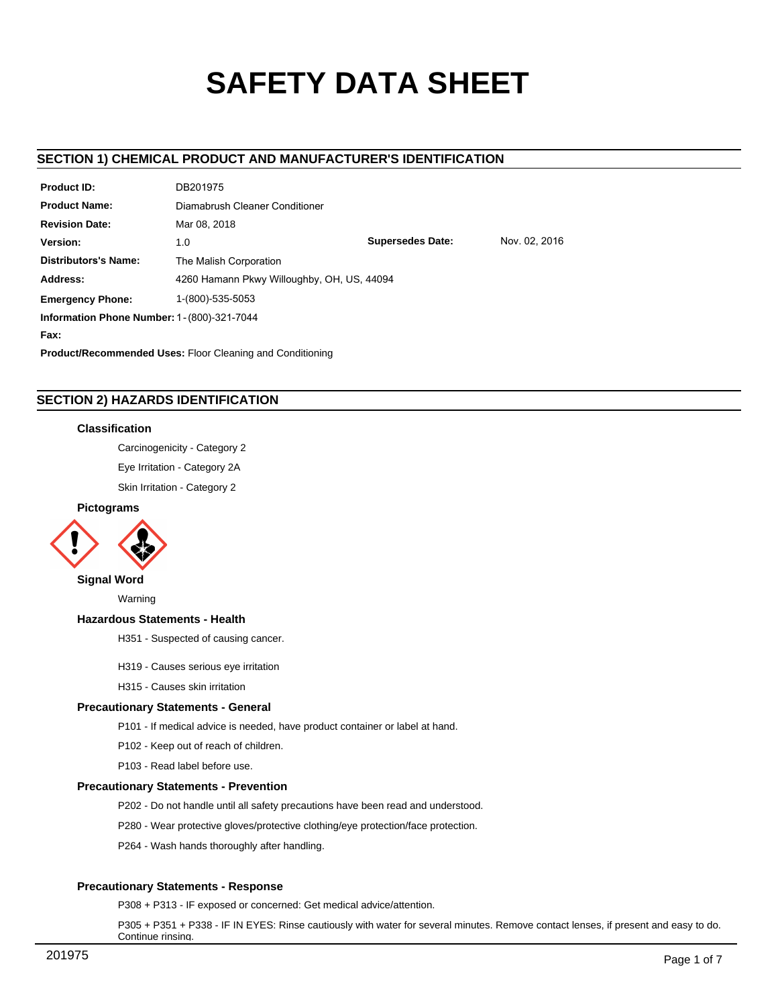# **SAFETY DATA SHEET**

# **SECTION 1) CHEMICAL PRODUCT AND MANUFACTURER'S IDENTIFICATION**

| <b>Product ID:</b>                                               | DB201975                                        |  |  |  |  |
|------------------------------------------------------------------|-------------------------------------------------|--|--|--|--|
| <b>Product Name:</b>                                             | Diamabrush Cleaner Conditioner                  |  |  |  |  |
| <b>Revision Date:</b>                                            | Mar 08, 2018                                    |  |  |  |  |
| Version:                                                         | <b>Supersedes Date:</b><br>Nov. 02. 2016<br>1.0 |  |  |  |  |
| <b>Distributors's Name:</b>                                      | The Malish Corporation                          |  |  |  |  |
| Address:                                                         | 4260 Hamann Pkwy Willoughby, OH, US, 44094      |  |  |  |  |
| <b>Emergency Phone:</b>                                          | 1-(800)-535-5053                                |  |  |  |  |
| <b>Information Phone Number: 1 - (800)-321-7044</b>              |                                                 |  |  |  |  |
| Fax:                                                             |                                                 |  |  |  |  |
| <b>Product/Recommended Uses: Floor Cleaning and Conditioning</b> |                                                 |  |  |  |  |

# **SECTION 2) HAZARDS IDENTIFICATION**

## **Classification**

Carcinogenicity - Category 2

Eye Irritation - Category 2A

Skin Irritation - Category 2

## **Pictograms**



## **Signal Word**

Warning

#### **Hazardous Statements - Health**

H351 - Suspected of causing cancer.

- H319 Causes serious eye irritation
- H315 Causes skin irritation

#### **Precautionary Statements - General**

- P101 If medical advice is needed, have product container or label at hand.
- P102 Keep out of reach of children.
- P103 Read label before use.

## **Precautionary Statements - Prevention**

- P202 Do not handle until all safety precautions have been read and understood.
- P280 Wear protective gloves/protective clothing/eye protection/face protection.
- P264 Wash hands thoroughly after handling.

## **Precautionary Statements - Response**

P308 + P313 - IF exposed or concerned: Get medical advice/attention.

P305 + P351 + P338 - IF IN EYES: Rinse cautiously with water for several minutes. Remove contact lenses, if present and easy to do. Continue rinsing.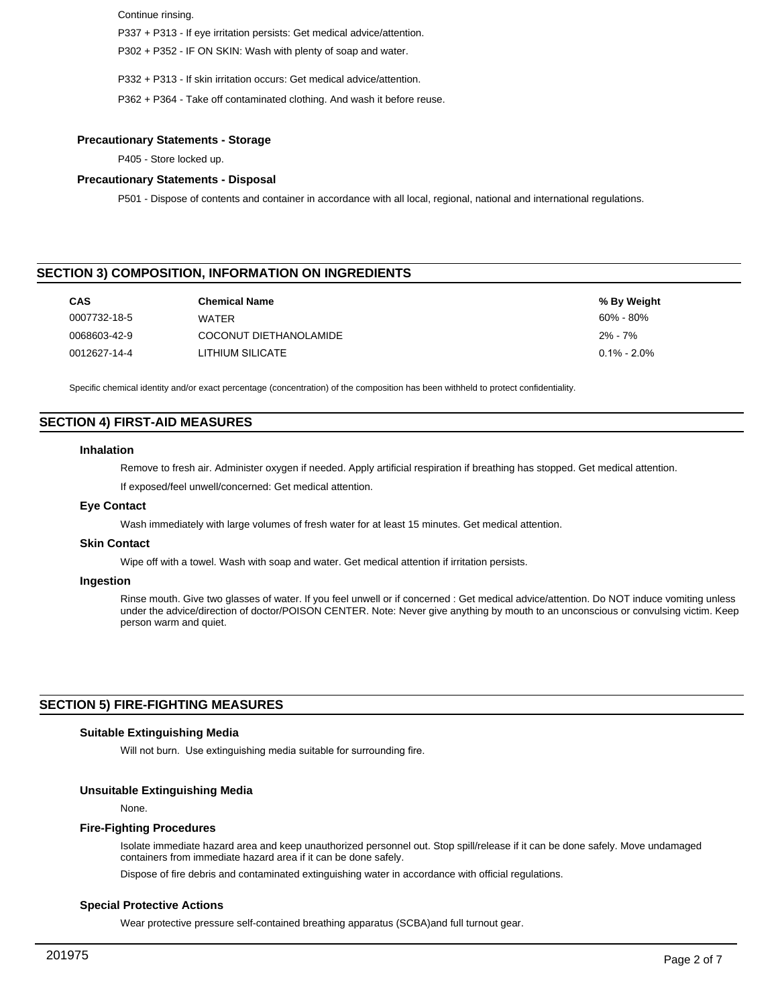Continue rinsing.

P337 + P313 - If eye irritation persists: Get medical advice/attention.

P302 + P352 - IF ON SKIN: Wash with plenty of soap and water.

P332 + P313 - If skin irritation occurs: Get medical advice/attention.

P362 + P364 - Take off contaminated clothing. And wash it before reuse.

## **Precautionary Statements - Storage**

P405 - Store locked up.

#### **Precautionary Statements - Disposal**

P501 - Dispose of contents and container in accordance with all local, regional, national and international regulations.

# **SECTION 3) COMPOSITION, INFORMATION ON INGREDIENTS**

| <b>CAS</b>   | <b>Chemical Name</b>   | % By Weight     |
|--------------|------------------------|-----------------|
| 0007732-18-5 | WATFR                  | $60\%$ - $80\%$ |
| 0068603-42-9 | COCONUT DIETHANOLAMIDE | 2% - 7%         |
| 0012627-14-4 | LITHIUM SILICATE       | $0.1\% - 2.0\%$ |

Specific chemical identity and/or exact percentage (concentration) of the composition has been withheld to protect confidentiality.

# **SECTION 4) FIRST-AID MEASURES**

#### **Inhalation**

Remove to fresh air. Administer oxygen if needed. Apply artificial respiration if breathing has stopped. Get medical attention.

If exposed/feel unwell/concerned: Get medical attention.

#### **Eye Contact**

Wash immediately with large volumes of fresh water for at least 15 minutes. Get medical attention.

#### **Skin Contact**

Wipe off with a towel. Wash with soap and water. Get medical attention if irritation persists.

#### **Ingestion**

Rinse mouth. Give two glasses of water. If you feel unwell or if concerned : Get medical advice/attention. Do NOT induce vomiting unless under the advice/direction of doctor/POISON CENTER. Note: Never give anything by mouth to an unconscious or convulsing victim. Keep person warm and quiet.

## **SECTION 5) FIRE-FIGHTING MEASURES**

## **Suitable Extinguishing Media**

Will not burn. Use extinguishing media suitable for surrounding fire.

#### **Unsuitable Extinguishing Media**

None.

#### **Fire-Fighting Procedures**

Isolate immediate hazard area and keep unauthorized personnel out. Stop spill/release if it can be done safely. Move undamaged containers from immediate hazard area if it can be done safely.

Dispose of fire debris and contaminated extinguishing water in accordance with official regulations.

#### **Special Protective Actions**

Wear protective pressure self-contained breathing apparatus (SCBA)and full turnout gear.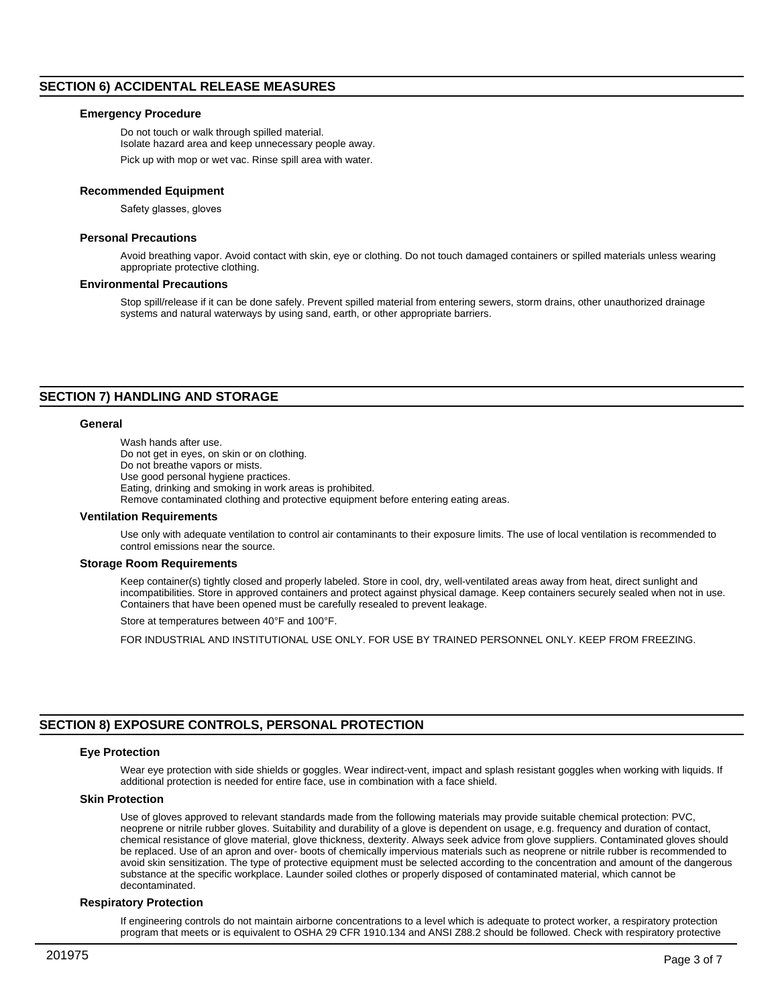## **SECTION 6) ACCIDENTAL RELEASE MEASURES**

#### **Emergency Procedure**

Do not touch or walk through spilled material. Isolate hazard area and keep unnecessary people away.

Pick up with mop or wet vac. Rinse spill area with water.

#### **Recommended Equipment**

Safety glasses, gloves

#### **Personal Precautions**

Avoid breathing vapor. Avoid contact with skin, eye or clothing. Do not touch damaged containers or spilled materials unless wearing appropriate protective clothing.

#### **Environmental Precautions**

Stop spill/release if it can be done safely. Prevent spilled material from entering sewers, storm drains, other unauthorized drainage systems and natural waterways by using sand, earth, or other appropriate barriers.

## **SECTION 7) HANDLING AND STORAGE**

#### **General**

Wash hands after use. Do not get in eyes, on skin or on clothing. Do not breathe vapors or mists. Use good personal hygiene practices. Eating, drinking and smoking in work areas is prohibited. Remove contaminated clothing and protective equipment before entering eating areas.

#### **Ventilation Requirements**

Use only with adequate ventilation to control air contaminants to their exposure limits. The use of local ventilation is recommended to control emissions near the source.

#### **Storage Room Requirements**

Keep container(s) tightly closed and properly labeled. Store in cool, dry, well-ventilated areas away from heat, direct sunlight and incompatibilities. Store in approved containers and protect against physical damage. Keep containers securely sealed when not in use. Containers that have been opened must be carefully resealed to prevent leakage.

Store at temperatures between 40°F and 100°F.

FOR INDUSTRIAL AND INSTITUTIONAL USE ONLY. FOR USE BY TRAINED PERSONNEL ONLY. KEEP FROM FREEZING.

# **SECTION 8) EXPOSURE CONTROLS, PERSONAL PROTECTION**

#### **Eye Protection**

Wear eye protection with side shields or goggles. Wear indirect-vent, impact and splash resistant goggles when working with liquids. If additional protection is needed for entire face, use in combination with a face shield.

#### **Skin Protection**

Use of gloves approved to relevant standards made from the following materials may provide suitable chemical protection: PVC, neoprene or nitrile rubber gloves. Suitability and durability of a glove is dependent on usage, e.g. frequency and duration of contact, chemical resistance of glove material, glove thickness, dexterity. Always seek advice from glove suppliers. Contaminated gloves should be replaced. Use of an apron and over- boots of chemically impervious materials such as neoprene or nitrile rubber is recommended to avoid skin sensitization. The type of protective equipment must be selected according to the concentration and amount of the dangerous substance at the specific workplace. Launder soiled clothes or properly disposed of contaminated material, which cannot be decontaminated.

#### **Respiratory Protection**

If engineering controls do not maintain airborne concentrations to a level which is adequate to protect worker, a respiratory protection program that meets or is equivalent to OSHA 29 CFR 1910.134 and ANSI Z88.2 should be followed. Check with respiratory protective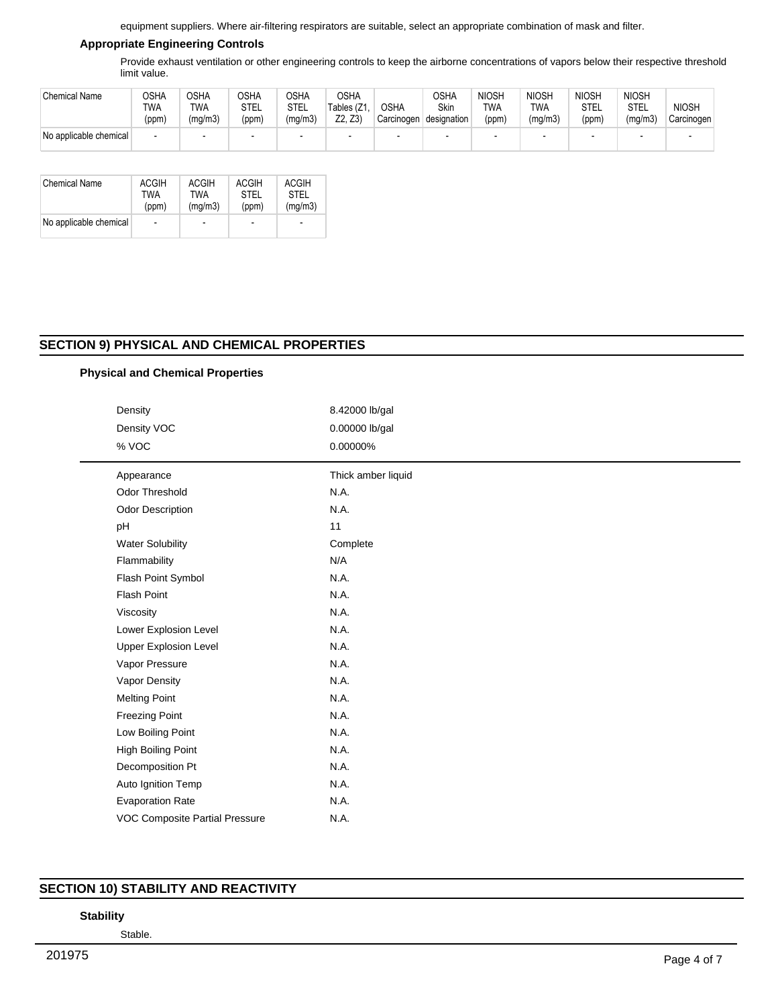equipment suppliers. Where air-filtering respirators are suitable, select an appropriate combination of mask and filter.

## **Appropriate Engineering Controls**

Provide exhaust ventilation or other engineering controls to keep the airborne concentrations of vapors below their respective threshold limit value.

| <b>Chemical Name</b>   | AH2C<br>TWA<br>(ppm) | OSHA<br>TWA<br>(mg/m3) | <b>OSHA</b><br>STEL<br>(ppm) | つSHA<br>STEL<br>(mg/m3) | <b>OSHA</b><br>Tables (Z1.<br>Z2, Z3) | OSHA<br>Carcinogen | <b>OSHA</b><br>Skin<br>designation | <b>NIOSH</b><br><b>TWA</b><br>(ppm) | <b>NIOSH</b><br><b>TWA</b><br>(mg/m3) | <b>NIOSH</b><br><b>STEL</b><br>(ppm) | <b>NIOSH</b><br><b>STEL</b><br>(mg/m3) | <b>NIOSH</b><br>Carcinogen |
|------------------------|----------------------|------------------------|------------------------------|-------------------------|---------------------------------------|--------------------|------------------------------------|-------------------------------------|---------------------------------------|--------------------------------------|----------------------------------------|----------------------------|
| No applicable chemical |                      |                        |                              |                         |                                       | -                  |                                    | -                                   |                                       |                                      |                                        |                            |

| <b>Chemical Name</b>   | <b>ACGIH</b>   | <b>ACGIH</b>             | ACGIH       | <b>ACGIH</b> |
|------------------------|----------------|--------------------------|-------------|--------------|
|                        | TWA            | <b>TWA</b>               | <b>STFI</b> | STFI         |
|                        | (ppm)          | (mq/m3)                  | (ppm)       | (mq/m3)      |
| No applicable chemical | $\overline{a}$ | $\overline{\phantom{a}}$ | -           | ٠            |

# **SECTION 9) PHYSICAL AND CHEMICAL PROPERTIES**

## **Physical and Chemical Properties**

| Density<br>Density VOC<br>% VOC       | 8.42000 lb/gal<br>0.00000 lb/gal<br>0.00000% |
|---------------------------------------|----------------------------------------------|
|                                       |                                              |
| Appearance                            | Thick amber liquid                           |
| Odor Threshold                        | N.A.                                         |
| Odor Description                      | N.A.                                         |
| pH                                    | 11                                           |
| <b>Water Solubility</b>               | Complete                                     |
| Flammability                          | N/A                                          |
| Flash Point Symbol                    | N.A.                                         |
| Flash Point                           | N.A.                                         |
| Viscosity                             | N.A.                                         |
| Lower Explosion Level                 | N.A.                                         |
| <b>Upper Explosion Level</b>          | N.A.                                         |
| Vapor Pressure                        | N.A.                                         |
| Vapor Density                         | N.A.                                         |
| <b>Melting Point</b>                  | N.A.                                         |
| <b>Freezing Point</b>                 | N.A.                                         |
| Low Boiling Point                     | N.A.                                         |
| High Boiling Point                    | N.A.                                         |
| Decomposition Pt                      | N.A.                                         |
| Auto Ignition Temp                    | N.A.                                         |
| <b>Evaporation Rate</b>               | N.A.                                         |
| <b>VOC Composite Partial Pressure</b> | N.A.                                         |

# **SECTION 10) STABILITY AND REACTIVITY**

## **Stability**

Stable.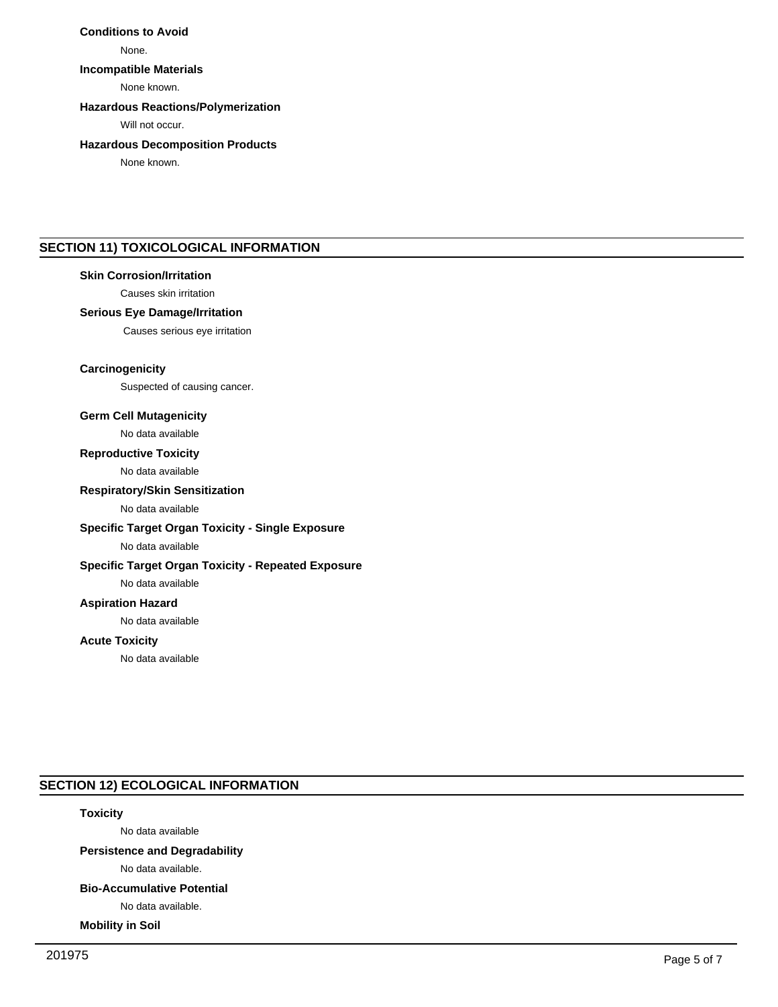# **Conditions to Avoid**

None.

## **Incompatible Materials**

None known.

## **Hazardous Reactions/Polymerization**

Will not occur.

## **Hazardous Decomposition Products**

None known.

# **SECTION 11) TOXICOLOGICAL INFORMATION**

## **Skin Corrosion/Irritation**

Causes skin irritation

## **Serious Eye Damage/Irritation**

Causes serious eye irritation

## **Carcinogenicity**

Suspected of causing cancer.

## **Germ Cell Mutagenicity**

No data available

#### **Reproductive Toxicity**

No data available

## **Respiratory/Skin Sensitization**

No data available

## **Specific Target Organ Toxicity - Single Exposure**

No data available

## **Specific Target Organ Toxicity - Repeated Exposure**

No data available

# **Aspiration Hazard**

No data available

#### **Acute Toxicity**

No data available

# **SECTION 12) ECOLOGICAL INFORMATION**

# **Toxicity**

No data available

# **Persistence and Degradability**

No data available.

# **Bio-Accumulative Potential**

No data available.

## **Mobility in Soil**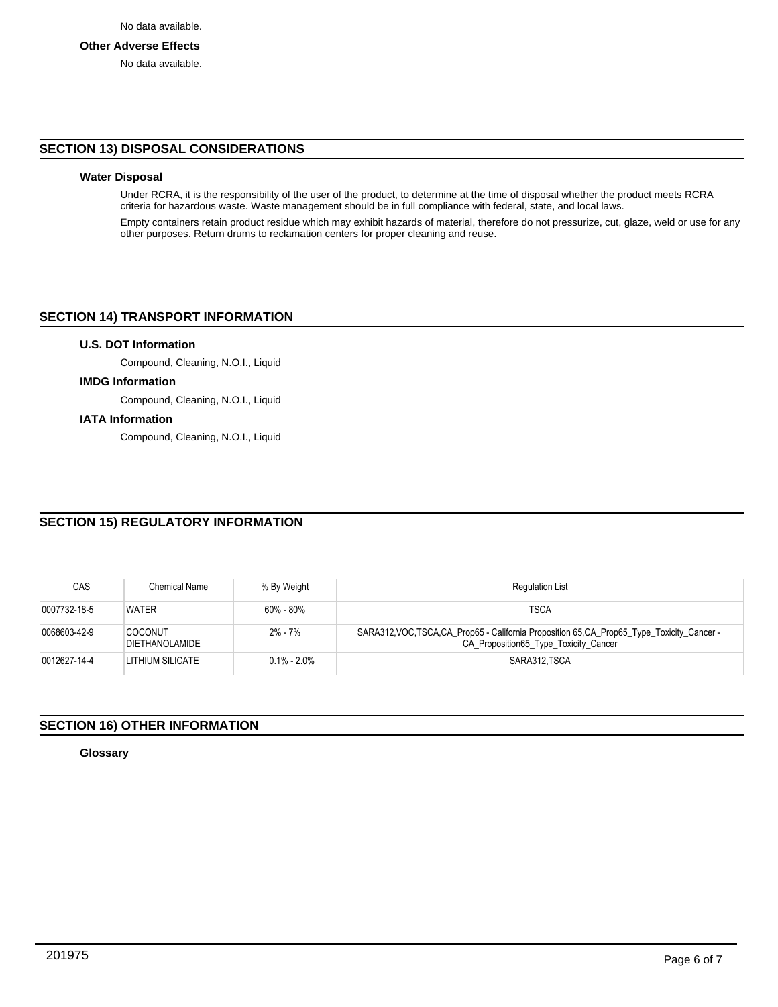## **Other Adverse Effects**

No data available.

## **SECTION 13) DISPOSAL CONSIDERATIONS**

# **Water Disposal**

Under RCRA, it is the responsibility of the user of the product, to determine at the time of disposal whether the product meets RCRA criteria for hazardous waste. Waste management should be in full compliance with federal, state, and local laws.

Empty containers retain product residue which may exhibit hazards of material, therefore do not pressurize, cut, glaze, weld or use for any other purposes. Return drums to reclamation centers for proper cleaning and reuse.

## **SECTION 14) TRANSPORT INFORMATION**

## **U.S. DOT Information**

Compound, Cleaning, N.O.I., Liquid

#### **IMDG Information**

Compound, Cleaning, N.O.I., Liquid

#### **IATA Information**

Compound, Cleaning, N.O.I., Liquid

# **SECTION 15) REGULATORY INFORMATION**

| <b>CAS</b>   | Chemical Name                    | % By Weight     | <b>Regulation List</b>                                                                                                                |
|--------------|----------------------------------|-----------------|---------------------------------------------------------------------------------------------------------------------------------------|
| 0007732-18-5 | <b>WATER</b>                     | $60\% - 80\%$   | <b>TSCA</b>                                                                                                                           |
| 0068603-42-9 | <b>COCONUT</b><br>DIETHANOLAMIDE | $2\% - 7\%$     | SARA312, VOC, TSCA, CA_Prop65 - California Proposition 65, CA_Prop65_Type_Toxicity_Cancer -<br>CA Proposition 65 Type Toxicity Cancer |
| 0012627-14-4 | LITHIUM SILICATE                 | $0.1\% - 2.0\%$ | SARA312 TSCA                                                                                                                          |

# **SECTION 16) OTHER INFORMATION**

**Glossary**